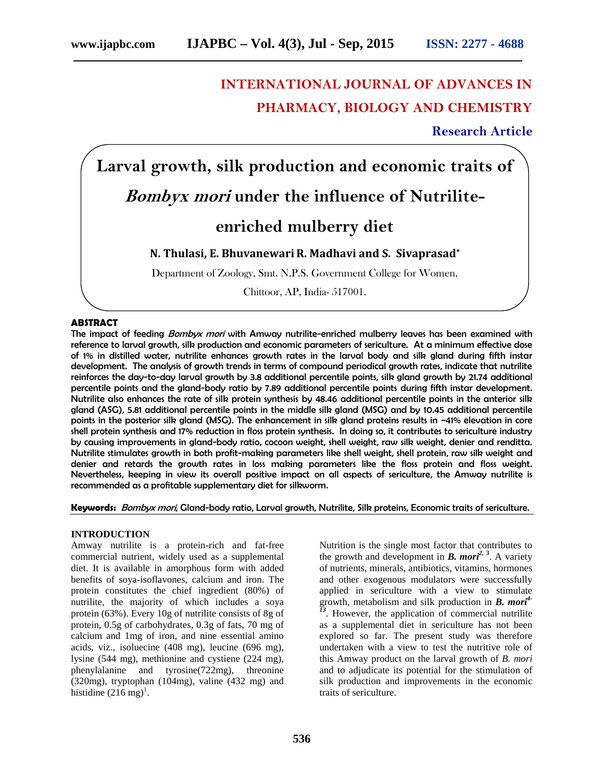# **INTERNATIONAL JOURNAL OF ADVANCES IN PHARMACY, BIOLOGY AND CHEMISTRY**

**Research Article**

**Larval growth, silk production and economic traits of** *Bombyx mori* **under the influence of Nutrilite enriched mulberry diet**

## **N. Thulasi, E. BhuvanewariR. Madhavi and S. Sivaprasad\***

Department of Zoology, Smt. N.P.S. Government College for Women,

Chittoor, AP, India- 517001.

#### **ABSTRACT**

The impact of feeding *Bombyx mori* with Amway nutrilite-enriched mulberry leaves has been examined with reference to larval growth, silk production and economic parameters of sericulture. At a minimum effective dose of 1% in distilled water, nutrilite enhances growth rates in the larval body and silk gland during fifth instar development. The analysis of growth trends in terms of compound periodical growth rates, indicate that nutrilite reinforces the day-to-day larval growth by 3.8 additional percentile points, silk gland growth by 21.74 additional percentile points and the gland-body ratio by 7.89 additional percentile points during fifth instar development. Nutrilite also enhances the rate of silk protein synthesis by 48.46 additional percentile points in the anterior silk gland (ASG), 5.81 additional percentile points in the middle silk gland (MSG) and by 10.45 additional percentile points in the posterior silk gland (MSG). The enhancement in silk gland proteins results in ~41% elevation in core shell protein synthesis and 17% reduction in floss protein synthesis. In doing so, it contributes to sericulture industry by causing improvements in gland-body ratio, cocoon weight, shell weight, raw silk weight, denier and renditta. Nutrilite stimulates growth in both profit-making parameters like shell weight, shell protein, raw silk weight and denier and retards the growth rates in loss making parameters like the floss protein and floss weight. Nevertheless, keeping in view its overall positive impact on all aspects of sericulture, the Amway nutrilite is recommended as a profitable supplementary diet for silkworm.

#### **Keywords:** *Bombyx mori*, Gland-body ratio, Larval growth, Nutrilite, Silk proteins, Economic traits of sericulture.

#### **INTRODUCTION**

Amway nutrilite is a protein-rich and fat-free commercial nutrient, widely used as a supplemental diet. It is available in amorphous form with added benefits of soya-isoflavones, calcium and iron. The protein constitutes the chief ingredient (80%) of nutrilite, the majority of which includes a soya protein (63%). Every 10g of nutrilite consists of 8g of protein, 0.5g of carbohydrates, 0.3g of fats, 70 mg of calcium and 1mg of iron, and nine essential amino acids, viz., isoluecine (408 mg), leucine (696 mg), lysine (544 mg), methionine and cystiene (224 mg), phenylalanine and tyrosine(722mg), threonine (320mg), tryptophan (104mg), valine (432 mg) and histidine  $(216 \text{ mg})^1$ .

Nutrition is the single most factor that contributes to the growth and development in *B. mori2, <sup>3</sup>* . A variety of nutrients, minerals, antibiotics, vitamins, hormones and other exogenous modulators were successfully applied in sericulture with a view to stimulate growth, metabolism and silk production in *B. mori4- <sup>13</sup>*. However, the application of commercial nutrilite as a supplemental diet in sericulture has not been explored so far. The present study was therefore undertaken with a view to test the nutritive role of this Amway product on the larval growth of *B. mori* and to adjudicate its potential for the stimulation of silk production and improvements in the economic traits of sericulture.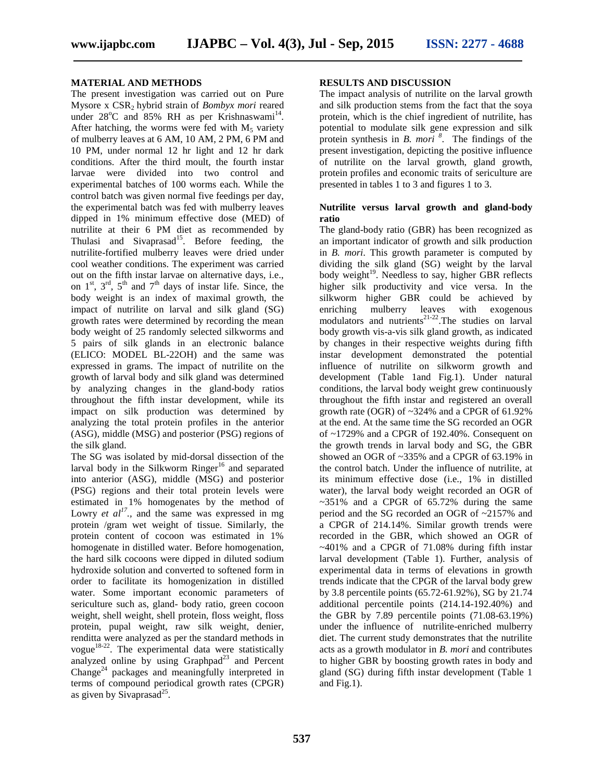#### **MATERIAL AND METHODS**

The present investigation was carried out on Pure Mysore x CSR<sup>2</sup> hybrid strain of *Bombyx mori* reared under  $28^{\circ}$ C and  $85\%$  RH as per Krishnaswami<sup>14</sup>. After hatching, the worms were fed with  $M_5$  variety of mulberry leaves at 6 AM, 10 AM, 2 PM, 6 PM and 10 PM, under normal 12 hr light and 12 hr dark conditions. After the third moult, the fourth instar larvae were divided into two control and experimental batches of 100 worms each. While the control batch was given normal five feedings per day, the experimental batch was fed with mulberry leaves dipped in 1% minimum effective dose (MED) of nutrilite at their 6 PM diet as recommended by Thulasi and Sivaprasad<sup>15</sup>. Before feeding, the nutrilite-fortified mulberry leaves were dried under cool weather conditions. The experiment was carried out on the fifth instar larvae on alternative days, i.e., on  $1<sup>st</sup>$ ,  $3<sup>rd</sup>$ ,  $5<sup>th</sup>$  and  $7<sup>th</sup>$  days of instar life. Since, the body weight is an index of maximal growth, the impact of nutrilite on larval and silk gland (SG) growth rates were determined by recording the mean body weight of 25 randomly selected silkworms and 5 pairs of silk glands in an electronic balance (ELICO: MODEL BL-22OH) and the same was expressed in grams. The impact of nutrilite on the growth of larval body and silk gland was determined by analyzing changes in the gland-body ratios throughout the fifth instar development, while its impact on silk production was determined by analyzing the total protein profiles in the anterior (ASG), middle (MSG) and posterior (PSG) regions of the silk gland.

The SG was isolated by mid-dorsal dissection of the larval body in the Silkworm Ringer<sup>16</sup> and separated into anterior (ASG), middle (MSG) and posterior (PSG) regions and their total protein levels were estimated in 1% homogenates by the method of Lowry *et*  $al^{17}$ , and the same was expressed in mg protein /gram wet weight of tissue. Similarly, the protein content of cocoon was estimated in 1% homogenate in distilled water. Before homogenation, the hard silk cocoons were dipped in diluted sodium hydroxide solution and converted to softened form in order to facilitate its homogenization in distilled water. Some important economic parameters of sericulture such as, gland- body ratio, green cocoon weight, shell weight, shell protein, floss weight, floss protein, pupal weight, raw silk weight, denier, renditta were analyzed as per the standard methods in vogue<sup>18-22</sup>. The experimental data were statistically analyzed online by using Graphpad $^{23}$  and Percent Change<sup>24</sup> packages and meaningfully interpreted in terms of compound periodical growth rates (CPGR) as given by Sivaprasad<sup>25</sup>.

#### **RESULTS AND DISCUSSION**

The impact analysis of nutrilite on the larval growth and silk production stems from the fact that the soya protein, which is the chief ingredient of nutrilite, has potential to modulate silk gene expression and silk protein synthesis in *B. mori* <sup>8</sup>. The findings of the present investigation, depicting the positive influence of nutrilite on the larval growth, gland growth, protein profiles and economic traits of sericulture are presented in tables 1 to 3 and figures 1 to 3.

#### **Nutrilite versus larval growth and gland-body ratio**

The gland-body ratio (GBR) has been recognized as an important indicator of growth and silk production in *B. mori*. This growth parameter is computed by dividing the silk gland (SG) weight by the larval body weight<sup>19</sup>. Needless to say, higher GBR reflects higher silk productivity and vice versa. In the silkworm higher GBR could be achieved by enriching mulberry leaves with exogenous modulators and nutrients<sup>21-22</sup>. The studies on larval body growth vis-a-vis silk gland growth, as indicated by changes in their respective weights during fifth instar development demonstrated the potential influence of nutrilite on silkworm growth and development (Table 1and Fig.1). Under natural conditions, the larval body weight grew continuously throughout the fifth instar and registered an overall growth rate (OGR) of  $\sim$ 324% and a CPGR of 61.92% at the end. At the same time the SG recorded an OGR of ~1729% and a CPGR of 192.40%. Consequent on the growth trends in larval body and SG, the GBR showed an OGR of ~335% and a CPGR of 63.19% in the control batch. Under the influence of nutrilite, at its minimum effective dose (i.e., 1% in distilled water), the larval body weight recorded an OGR of  $\sim$ 351% and a CPGR of 65.72% during the same period and the SG recorded an OGR of ~2157% and a CPGR of 214.14%. Similar growth trends were recorded in the GBR, which showed an OGR of ~401% and a CPGR of 71.08% during fifth instar larval development (Table 1). Further, analysis of experimental data in terms of elevations in growth trends indicate that the CPGR of the larval body grew by 3.8 percentile points (65.72-61.92%), SG by 21.74 additional percentile points (214.14-192.40%) and the GBR by 7.89 percentile points (71.08-63.19%) under the influence of nutrilite-enriched mulberry diet. The current study demonstrates that the nutrilite acts as a growth modulator in *B. mori* and contributes to higher GBR by boosting growth rates in body and gland (SG) during fifth instar development (Table 1 and Fig.1).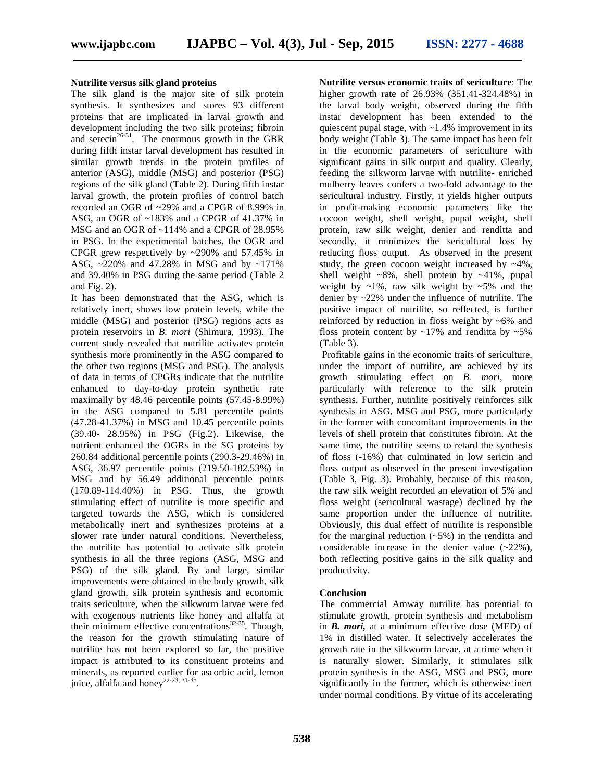#### **Nutrilite versus silk gland proteins**

The silk gland is the major site of silk protein synthesis. It synthesizes and stores 93 different proteins that are implicated in larval growth and development including the two silk proteins; fibroin and serecin<sup>26-31</sup>. The enormous growth in the GBR boo during fifth instar larval development has resulted in similar growth trends in the protein profiles of anterior (ASG), middle (MSG) and posterior (PSG) regions of the silk gland (Table 2). During fifth instar larval growth, the protein profiles of control batch recorded an OGR of ~29% and a CPGR of 8.99% in ASG, an OGR of ~183% and a CPGR of 41.37% in MSG and an OGR of ~114% and a CPGR of 28.95% in PSG. In the experimental batches, the OGR and CPGR grew respectively by ~290% and 57.45% in ASG, ~220% and 47.28% in MSG and by ~171% and 39.40% in PSG during the same period (Table 2 and Fig. 2).

It has been demonstrated that the ASG, which is relatively inert, shows low protein levels, while the middle (MSG) and posterior (PSG) regions acts as protein reservoirs in *B. mori* (Shimura, 1993). The current study revealed that nutrilite activates protein synthesis more prominently in the ASG compared to the other two regions (MSG and PSG). The analysis of data in terms of CPGRs indicate that the nutrilite enhanced to day-to-day protein synthetic rate maximally by 48.46 percentile points (57.45-8.99%) in the ASG compared to 5.81 percentile points (47.28-41.37%) in MSG and 10.45 percentile points (39.40- 28.95%) in PSG (Fig.2). Likewise, the nutrient enhanced the OGRs in the SG proteins by 260.84 additional percentile points (290.3-29.46%) in ASG, 36.97 percentile points (219.50-182.53%) in MSG and by 56.49 additional percentile points (170.89-114.40%) in PSG. Thus, the growth stimulating effect of nutrilite is more specific and targeted towards the ASG, which is considered metabolically inert and synthesizes proteins at a slower rate under natural conditions. Nevertheless, the nutrilite has potential to activate silk protein synthesis in all the three regions (ASG, MSG and PSG) of the silk gland. By and large, similar improvements were obtained in the body growth, silk gland growth, silk protein synthesis and economic traits sericulture, when the silkworm larvae were fed with exogenous nutrients like honey and alfalfa at their minimum effective concentrations<sup>32-35</sup>. Though, the reason for the growth stimulating nature of nutrilite has not been explored so far, the positive impact is attributed to its constituent proteins and minerals, as reported earlier for ascorbic acid, lemon juice, alfalfa and honey<sup>22-23, 31-35</sup>.

**Nutrilite versus economic traits of sericulture**: The higher growth rate of 26.93% (351.41-324.48%) in the larval body weight, observed during the fifth instar development has been extended to the quiescent pupal stage, with  $\sim$ 1.4% improvement in its body weight (Table 3). The same impact has been felt in the economic parameters of sericulture with significant gains in silk output and quality. Clearly, feeding the silkworm larvae with nutrilite- enriched mulberry leaves confers a two-fold advantage to the sericultural industry. Firstly, it yields higher outputs in profit-making economic parameters like the cocoon weight, shell weight, pupal weight, shell protein, raw silk weight, denier and renditta and secondly, it minimizes the sericultural loss by reducing floss output. As observed in the present study, the green cocoon weight increased by ~4%, shell weight  $\sim 8\%$ , shell protein by  $\sim 41\%$ , pupal weight by  $\sim$ 1%, raw silk weight by  $\sim$ 5% and the denier by ~22% under the influence of nutrilite. The positive impact of nutrilite, so reflected, is further reinforced by reduction in floss weight by ~6% and floss protein content by  $\sim$ 17% and renditta by  $\sim$ 5% (Table 3).

Profitable gains in the economic traits of sericulture, under the impact of nutrilite, are achieved by its growth stimulating effect on *B. mori,* more particularly with reference to the silk protein synthesis. Further, nutrilite positively reinforces silk synthesis in ASG, MSG and PSG, more particularly in the former with concomitant improvements in the levels of shell protein that constitutes fibroin. At the same time, the nutrilite seems to retard the synthesis of floss (-16%) that culminated in low sericin and floss output as observed in the present investigation (Table 3, Fig. 3). Probably, because of this reason, the raw silk weight recorded an elevation of 5% and floss weight (sericultural wastage) declined by the same proportion under the influence of nutrilite. Obviously, this dual effect of nutrilite is responsible for the marginal reduction  $(-5\%)$  in the renditta and considerable increase in the denier value  $(-22\%)$ , both reflecting positive gains in the silk quality and productivity.

#### **Conclusion**

The commercial Amway nutrilite has potential to stimulate growth, protein synthesis and metabolism in *B. mori,* at a minimum effective dose (MED) of 1% in distilled water. It selectively accelerates the growth rate in the silkworm larvae, at a time when it is naturally slower. Similarly, it stimulates silk protein synthesis in the ASG, MSG and PSG, more significantly in the former, which is otherwise inert under normal conditions. By virtue of its accelerating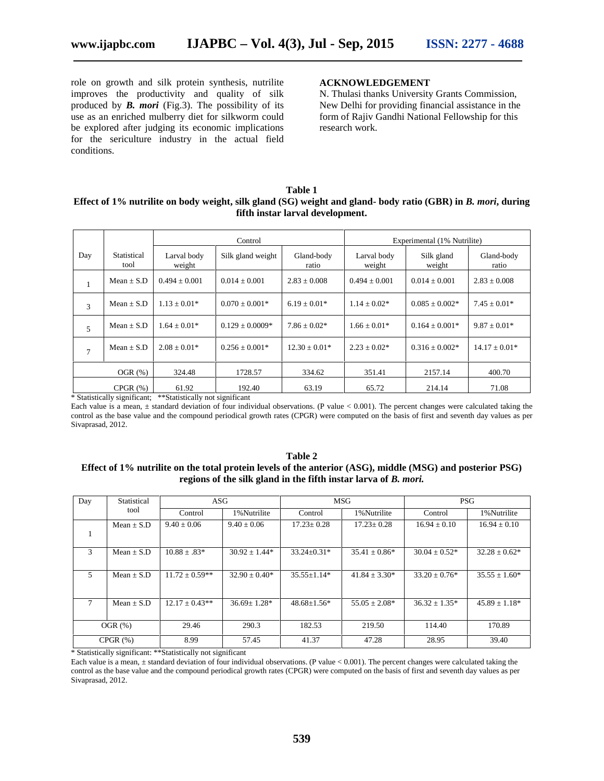role on growth and silk protein synthesis, nutrilite improves the productivity and quality of silk produced by *B. mori* (Fig.3). The possibility of its use as an enriched mulberry diet for silkworm could be explored after judging its economic implications for the sericulture industry in the actual field conditions.

#### **ACKNOWLEDGEMENT**

N. Thulasi thanks University Grants Commission, New Delhi for providing financial assistance in the form of Rajiv Gandhi National Fellowship for this research work.

#### **Table 1 Effect of 1% nutrilite on body weight, silk gland (SG) weight and gland- body ratio (GBR) in** *B. mori***, during fifth instar larval development.**

|                |                     | Control               |                    |                     | Experimental (1% Nutrilite) |                      |                     |
|----------------|---------------------|-----------------------|--------------------|---------------------|-----------------------------|----------------------|---------------------|
| Day            | Statistical<br>tool | Larval body<br>weight | Silk gland weight  | Gland-body<br>ratio | Larval body<br>weight       | Silk gland<br>weight | Gland-body<br>ratio |
| 1              | $Mean + S.D$        | $0.494 \pm 0.001$     | $0.014 \pm 0.001$  | $2.83 \pm 0.008$    | $0.494 \pm 0.001$           | $0.014 \pm 0.001$    | $2.83 \pm 0.008$    |
| 3              | Mean $\pm$ S.D      | $1.13 + 0.01*$        | $0.070 \pm 0.001*$ | $6.19 \pm 0.01*$    | $1.14 \pm 0.02*$            | $0.085 + 0.002*$     | $7.45 \pm 0.01*$    |
| 5              | $Mean + S.D$        | $1.64 + 0.01*$        | $0.129 + 0.0009*$  | $7.86 \pm 0.02*$    | $1.66 \pm 0.01*$            | $0.164 + 0.001*$     | $9.87 \pm 0.01*$    |
| $\overline{7}$ | $Mean + S.D$        | $2.08 \pm 0.01*$      | $0.256 \pm 0.001*$ | $12.30 \pm 0.01*$   | $2.23 \pm 0.02^*$           | $0.316 \pm 0.002*$   | $14.17 \pm 0.01*$   |
|                | OGR(%)              | 324.48                | 1728.57            | 334.62              | 351.41                      | 2157.14              | 400.70              |
|                | CPGR(%)             | 61.92                 | 192.40             | 63.19               | 65.72                       | 214.14               | 71.08               |

\* Statistically significant; \*\*Statistically not significant

Each value is a mean,  $\pm$  standard deviation of four individual observations. (P value  $< 0.001$ ). The percent changes were calculated taking the control as the base value and the compound periodical growth rates (CPGR) were computed on the basis of first and seventh day values as per Sivaprasad, 2012.

### **Table 2 Effect of 1% nutrilite on the total protein levels of the anterior (ASG), middle (MSG) and posterior PSG) regions of the silk gland in the fifth instar larva of** *B. mori.*

| Day           | Statistical<br>tool | <b>ASG</b>       |                    | <b>MSG</b>        |                    | <b>PSG</b>         |                    |
|---------------|---------------------|------------------|--------------------|-------------------|--------------------|--------------------|--------------------|
|               |                     | Control          | 1% Nutrilite       | Control           | 1% Nutrilite       | Control            | 1% Nutrilite       |
|               | $Mean + S.D$        | $9.40 \pm 0.06$  | $9.40 \pm 0.06$    | $17.23 \pm 0.28$  | $17.23 \pm 0.28$   | $16.94 \pm 0.10$   | $16.94 \pm 0.10$   |
|               |                     |                  |                    |                   |                    |                    |                    |
| 3             | $Mean + S.D$        | $10.88 \pm .83*$ | $30.92 \pm 1.44*$  | $33.24 + 0.31*$   | $35.41 \pm 0.86^*$ | $30.04 + 0.52*$    | $32.28 \pm 0.62^*$ |
| 5             | Mean $\pm$ S.D      | $11.72 + 0.59**$ | $32.90 \pm 0.40^*$ | $35.55 \pm 1.14*$ | $41.84 \pm 3.30^*$ | $33.20 \pm 0.76^*$ | $35.55 \pm 1.60*$  |
| 7             | $Mean + S.D$        | $12.17 + 0.43**$ | $36.69 + 1.28*$    | $48.68 \pm 1.56*$ | $55.05 + 2.08*$    | $36.32 + 1.35*$    | $45.89 \pm 1.18^*$ |
| OGR(%)        |                     | 29.46            | 290.3              | 182.53            | 219.50             | 114.40             | 170.89             |
| $CPGR$ $(\%)$ |                     | 8.99             | 57.45              | 41.37             | 47.28              | 28.95              | 39.40              |

\* Statistically significant: \*\*Statistically not significant

Each value is a mean,  $\pm$  standard deviation of four individual observations. (P value < 0.001). The percent changes were calculated taking the control as the base value and the compound periodical growth rates (CPGR) were computed on the basis of first and seventh day values as per Sivaprasad, 2012.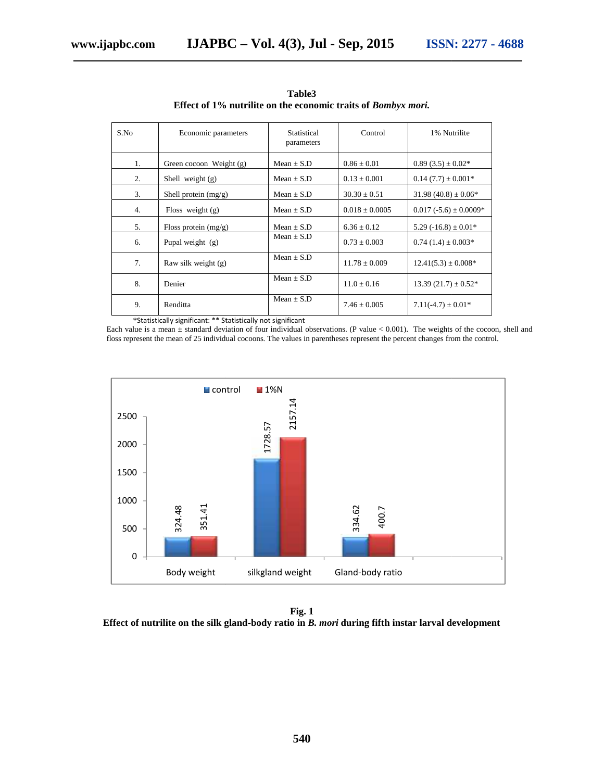| S.No | Economic parameters       | Statistical<br>parameters | Control            | 1% Nutrilite              |
|------|---------------------------|---------------------------|--------------------|---------------------------|
| 1.   | Green cocoon Weight $(g)$ | $Mean + S.D$              | $0.86 \pm 0.01$    | $0.89(3.5) \pm 0.02*$     |
| 2.   | Shell weight $(g)$        | $Mean + S.D$              | $0.13 \pm 0.001$   | $0.14(7.7) \pm 0.001*$    |
| 3.   | Shell protein $(mg/g)$    | $Mean + S.D$              | $30.30 \pm 0.51$   | $31.98(40.8) \pm 0.06*$   |
| 4.   | Floss weight $(g)$        | $Mean + S.D$              | $0.018 \pm 0.0005$ | $0.017(-5.6) \pm 0.0009*$ |
| .5.  | Floss protein $(mg/g)$    | $Mean + S.D$              | $6.36 + 0.12$      | $5.29(-16.8) \pm 0.01*$   |
| 6.   | Pupal weight $(g)$        | $Mean + S.D$              | $0.73 + 0.003$     | $0.74(1.4) \pm 0.003*$    |
| 7.   | Raw silk weight (g)       | $Mean + S.D$              | $11.78 \pm 0.009$  | $12.41(5.3) \pm 0.008*$   |
| 8.   | Denier                    | $Mean + S.D$              | $11.0 \pm 0.16$    | $13.39(21.7) \pm 0.52*$   |
| 9.   | Renditta                  | $Mean + S.D$              | $7.46 + 0.005$     | $7.11(-4.7) \pm 0.01*$    |

**Table3 Effect of 1% nutrilite on the economic traits of** *Bombyx mori.* **traits of**

\*Statistically significant: \*\* Statistically not significant

Each value is a mean  $\pm$  standard deviation of four individual observations. (P value  $< 0.001$ ). The weights of the cocoon, shell and floss represent the mean of 25 individual cocoons. The values in parentheses represent the percent changes from the control.



**Fig. 1**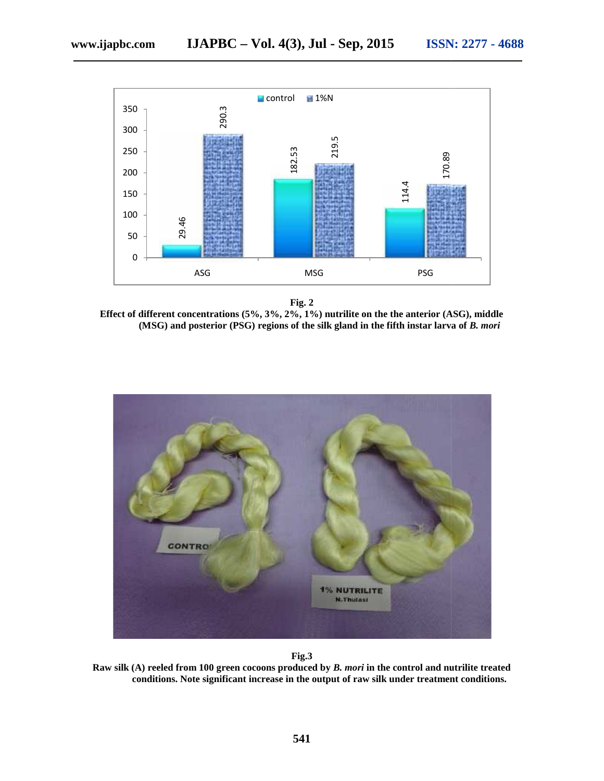



**Effect of different concentrations (5%, 3%, 2%, 1%) nutrilite on the the anterior (ASG), middle 1%) the the (MSG) and posterior (PSG) regions of the silk gland in the fifth instar larva of** *B. mori*





**Raw silk (A) reeled from 100 green cocoons produced by** *B. mori* **in the control and nutrilite treated 100**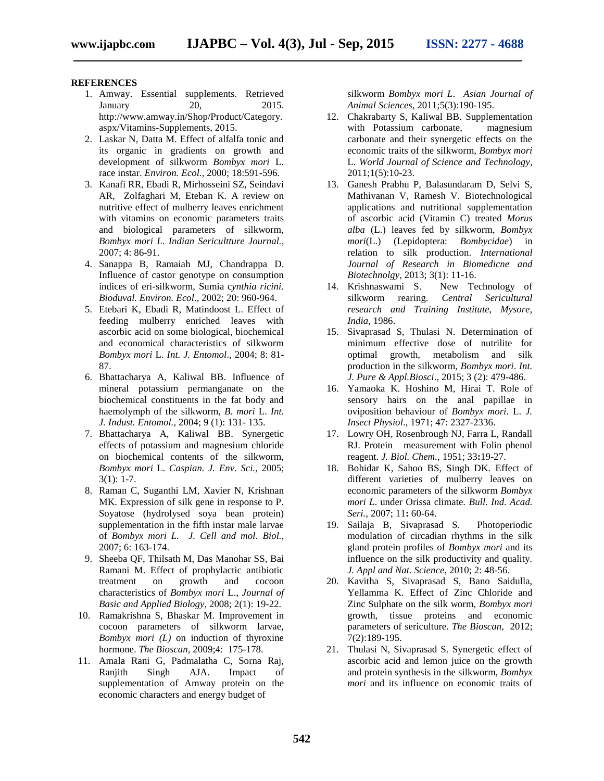#### **REFERENCES**

- 1. Amway. Essential supplements. Retrieved January 20, 2015. http://www.amway.in/Shop/Product/Category. aspx/Vitamins-Supplements, 2015.
- 2. Laskar N, Datta M. Effect of alfalfa tonic and its organic in gradients on growth and development of silkworm *Bombyx mori* L. race instar. *Environ. Ecol.,* 2000; 18:591-596.
- 3. Kanafi RR, Ebadi R, Mirhosseini SZ, Seindavi AR, Zolfaghari M, Eteban K. A review on nutritive effect of mulberry leaves enrichment with vitamins on economic parameters traits and biological parameters of silkworm, *Bombyx mori L*. *Indian Sericultture Journal.,* 2007; 4: 86-91.
- 4. Sanappa B, Ramaiah MJ, Chandrappa D. Influence of castor genotype on consumption indices of eri-silkworm, Sumia c*ynthia ricini*. *Bioduval. Environ. Ecol.,* 2002; 20: 960-964.
- 5. Etebari K, Ebadi R, Matindoost L. Effect of feeding mulberry enriched leaves with ascorbic acid on some biological, biochemical and economical characteristics of silkworm *Bombyx mori* L. *Int. J. Entomol*., 2004; 8: 81- 87.
- 6. Bhattacharya A, Kaliwal BB. Influence of mineral potassium permanganate on the biochemical constituents in the fat body and haemolymph of the silkworm, *B. mori* L. *Int. J. Indust. Entomol.,* 2004; 9 (1): 131- 135.
- 7. Bhattacharya A, Kaliwal BB. Synergetic effects of potassium and magnesium chloride on biochemical contents of the silkworm, *Bombyx mori* L. *Caspian. J. Env. Sci.,* 2005;  $3(1): 1-7.$
- 8. Raman C, Suganthi LM, Xavier N, Krishnan MK. Expression of silk gene in response to P. Soyatose (hydrolysed soya bean protein) supplementation in the fifth instar male larvae of *Bombyx mori L. J. Cell and mol*. *Biol.,* 2007; 6: 163-174.
- 9. Sheeba QF, Thilsath M, Das Manohar SS, Bai Ramani M. Effect of prophylactic antibiotic treatment on growth and cocoon characteristics of *Bombyx mori* L., *Journal of Basic and Applied Biology,* 2008; 2(1): 19-22.
- 10. Ramakrishna S, Bhaskar M. Improvement in cocoon parameters of silkworm larvae, *Bombyx mori (L)* on induction of thyroxine hormone. *The Bioscan,* 2009;4: 175-178.
- 11. Amala Rani G, Padmalatha C, Sorna Raj, Ranjith Singh AJA. Impact of supplementation of Amway protein on the economic characters and energy budget of

silkworm *Bombyx mori L*. *Asian Journal of Animal Sciences,* 2011;5(3):190-195.

- 12. Chakrabarty S, Kaliwal BB. Supplementation with Potassium carbonate, magnesium carbonate and their synergetic effects on the economic traits of the silkworm, *Bombyx mori* L. *World Journal of Science and Technology,* 2011;1(5):10-23.
- 13. Ganesh Prabhu P, Balasundaram D, Selvi S, Mathivanan V, Ramesh V. Biotechnological applications and nutritional supplementation of ascorbic acid (Vitamin C) treated *Morus alba* (L.) leaves fed by silkworm, *Bombyx mori*(L.) (Lepidoptera: *Bombycidae*) in relation to silk production. *International Journal of Research in Biomedicne and Biotechnolgy,* 2013; 3(1): 11-16.
- 14. Krishnaswami S. New Technology of silkworm rearing. *Central Sericultural research and Training Institute, Mysore, India,* 1986.
- 15. Sivaprasad S, Thulasi N. Determination of minimum effective dose of nutrilite for optimal growth, metabolism and silk production in the silkworm, *Bombyx mori*. *Int. J. Pure & Appl.Biosci*., 2015; 3 (2): 479-486.
- 16. Yamaoka K. Hoshino M, Hirai T. Role of sensory hairs on the anal papillae in oviposition behaviour of *Bombyx mori*. L. *J. Insect Physiol*., 1971; 47: 2327-2336.
- 17. Lowry OH, Rosenbrough NJ, Farra L, Randall RJ. Protein measurement with Folin phenol reagent. *J. Biol. Chem.,* 1951; 33**:**19-27.
- 18. Bohidar K, Sahoo BS, Singh DK. Effect of different varieties of mulberry leaves on economic parameters of the silkworm *Bombyx mori L*. under Orissa climate. *Bull. Ind. Acad. Seri.,* 2007; 11**:** 60-64.
- 19. Sailaja B, Sivaprasad S. Photoperiodic modulation of circadian rhythms in the silk gland protein profiles of *Bombyx mori* and its influence on the silk productivity and quality. *J. Appl and Nat. Science*, 2010; 2: 48-56.
- 20. Kavitha S, Sivaprasad S, Bano Saidulla, Yellamma K. Effect of Zinc Chloride and Zinc Sulphate on the silk worm, *Bombyx mori* growth, tissue proteins and economic parameters of sericulture. *The Bioscan,* 2012; 7(2):189-195.
- 21. Thulasi N, Sivaprasad S. Synergetic effect of ascorbic acid and lemon juice on the growth and protein synthesis in the silkworm, *Bombyx mori* and its influence on economic traits of